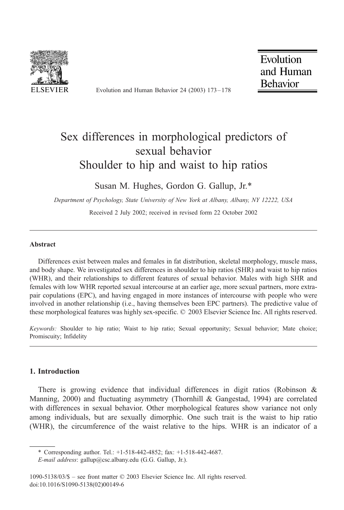

Evolution and Human Behavior 24 (2003) 173 – 178

Evolution and Human **Behavior** 

# Sex differences in morphological predictors of sexual behavior Shoulder to hip and waist to hip ratios

Susan M. Hughes, Gordon G. Gallup, Jr.\*

Department of Psychology, State University of New York at Albany, Albany, NY 12222, USA

Received 2 July 2002; received in revised form 22 October 2002

#### Abstract

Differences exist between males and females in fat distribution, skeletal morphology, muscle mass, and body shape. We investigated sex differences in shoulder to hip ratios (SHR) and waist to hip ratios (WHR), and their relationships to different features of sexual behavior. Males with high SHR and females with low WHR reported sexual intercourse at an earlier age, more sexual partners, more extrapair copulations (EPC), and having engaged in more instances of intercourse with people who were involved in another relationship (i.e., having themselves been EPC partners). The predictive value of these morphological features was highly sex-specific. © 2003 Elsevier Science Inc. All rights reserved.

Keywords: Shoulder to hip ratio; Waist to hip ratio; Sexual opportunity; Sexual behavior; Mate choice; Promiscuity; Infidelity

# 1. Introduction

There is growing evidence that individual differences in digit ratios (Robinson & Manning, 2000) and fluctuating asymmetry (Thornhill & Gangestad, 1994) are correlated with differences in sexual behavior. Other morphological features show variance not only among individuals, but are sexually dimorphic. One such trait is the waist to hip ratio (WHR), the circumference of the waist relative to the hips. WHR is an indicator of a

<sup>\*</sup> Corresponding author. Tel.: +1-518-442-4852; fax: +1-518-442-4687.

E-mail address: gallup@csc.albany.edu (G.G. Gallup, Jr.).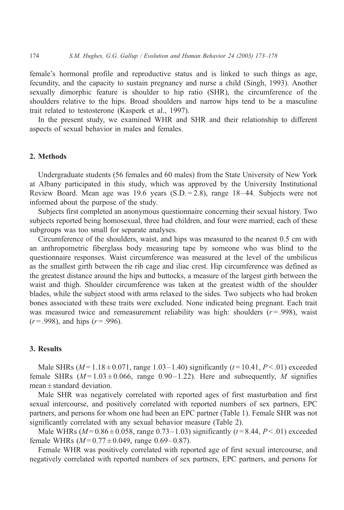female's hormonal profile and reproductive status and is linked to such things as age, fecundity, and the capacity to sustain pregnancy and nurse a child (Singh, 1993). Another sexually dimorphic feature is shoulder to hip ratio (SHR), the circumference of the shoulders relative to the hips. Broad shoulders and narrow hips tend to be a masculine trait related to testosterone (Kasperk et al., 1997).

In the present study, we examined WHR and SHR and their relationship to different aspects of sexual behavior in males and females.

# 2. Methods

Undergraduate students (56 females and 60 males) from the State University of New York at Albany participated in this study, which was approved by the University Institutional Review Board. Mean age was 19.6 years (S.D. = 2.8), range 18–44. Subjects were not informed about the purpose of the study.

Subjects first completed an anonymous questionnaire concerning their sexual history. Two subjects reported being homosexual, three had children, and four were married; each of these subgroups was too small for separate analyses.

Circumference of the shoulders, waist, and hips was measured to the nearest 0.5 cm with an anthropometric fiberglass body measuring tape by someone who was blind to the questionnaire responses. Waist circumference was measured at the level of the umbilicus as the smallest girth between the rib cage and iliac crest. Hip circumference was defined as the greatest distance around the hips and buttocks, a measure of the largest girth between the waist and thigh. Shoulder circumference was taken at the greatest width of the shoulder blades, while the subject stood with arms relaxed to the sides. Two subjects who had broken bones associated with these traits were excluded. None indicated being pregnant. Each trait was measured twice and remeasurement reliability was high: shoulders  $(r = .998)$ , waist  $(r = .998)$ , and hips  $(r = .996)$ .

## 3. Results

Male SHRs ( $M = 1.18 \pm 0.071$ , range 1.03-1.40) significantly ( $t = 10.41$ ,  $P < .01$ ) exceeded female SHRs  $(M=1.03\pm0.066$ , range 0.90–1.22). Here and subsequently, M signifies mean  $\pm$  standard deviation.

Male SHR was negatively correlated with reported ages of first masturbation and first sexual intercourse, and positively correlated with reported numbers of sex partners, EPC partners, and persons for whom one had been an EPC partner (Table 1). Female SHR was not significantly correlated with any sexual behavior measure (Table 2).

Male WHRs ( $M = 0.86 \pm 0.058$ , range 0.73–1.03) significantly ( $t = 8.44$ ,  $P < 0.01$ ) exceeded female WHRs  $(M=0.77\pm0.049$ , range 0.69–0.87).

Female WHR was positively correlated with reported age of first sexual intercourse, and negatively correlated with reported numbers of sex partners, EPC partners, and persons for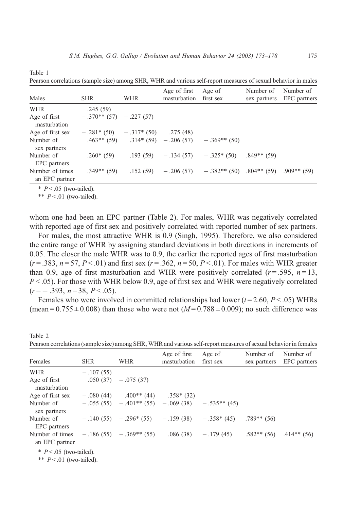| Pearson correlations (sample size) among SHR, WHR and various self-report measures of sexual behavior in males |                                         |            |                              |                                                    |                           |                           |  |  |  |
|----------------------------------------------------------------------------------------------------------------|-----------------------------------------|------------|------------------------------|----------------------------------------------------|---------------------------|---------------------------|--|--|--|
| Males                                                                                                          | <b>SHR</b>                              | <b>WHR</b> | Age of first<br>masturbation | Age of<br>first sex                                | Number of<br>sex partners | Number of<br>EPC partners |  |  |  |
| <b>WHR</b>                                                                                                     | .245(59)                                |            |                              |                                                    |                           |                           |  |  |  |
| Age of first<br>masturbation                                                                                   | $-.370**$ (57) $-.227$ (57)             |            |                              |                                                    |                           |                           |  |  |  |
| Age of first sex                                                                                               | $-.281*$ (50) $-.317*$ (50) $.275$ (48) |            |                              |                                                    |                           |                           |  |  |  |
| Number of<br>sex partners                                                                                      |                                         |            |                              | $.463**$ (59) $.314*(59) - .206(57) - .369**$ (50) |                           |                           |  |  |  |
| Number of<br>EPC partners                                                                                      | $.260*(59)$                             |            |                              | $.193(59) - .134(57) - .325*(50)$                  | $.849**$ (59)             |                           |  |  |  |
| Number of times<br>an EPC partner                                                                              | $.349**$ (59)                           |            |                              | .152 (59) $-.206(57)$ $-.382**(50)$ .804** (59)    |                           | $.909**$ (59)             |  |  |  |

 $* P < .05$  (two-tailed).

Table 1

\*\*  $P < 01$  (two-tailed).

whom one had been an EPC partner (Table 2). For males, WHR was negatively correlated with reported age of first sex and positively correlated with reported number of sex partners.

For males, the most attractive WHR is 0.9 (Singh, 1995). Therefore, we also considered the entire range of WHR by assigning standard deviations in both directions in increments of 0.05. The closer the male WHR was to 0.9, the earlier the reported ages of first masturbation  $(r = .383, n = 57, P < .01)$  and first sex  $(r = .362, n = 50, P < .01)$ . For males with WHR greater than 0.9, age of first masturbation and WHR were positively correlated  $(r=.595, n=13, ...)$  $P < 0.05$ ). For those with WHR below 0.9, age of first sex and WHR were negatively correlated  $(r = -.393, n = 38, P < .05)$ .

Females who were involved in committed relationships had lower  $(t = 2.60, P < .05)$  WHRs (mean =  $0.755 \pm 0.008$ ) than those who were not ( $M = 0.788 \pm 0.009$ ); no such difference was

| Females                           | <b>SHR</b>  | <b>WHR</b>                                          | Age of first<br>masturbation | Age of<br>first sex   | Number of<br>sex partners | Number of<br>EPC partners |
|-----------------------------------|-------------|-----------------------------------------------------|------------------------------|-----------------------|---------------------------|---------------------------|
| <b>WHR</b>                        | $-.107(55)$ |                                                     |                              |                       |                           |                           |
| Age of first<br>masturbation      |             | $.050(37) - .075(37)$                               |                              |                       |                           |                           |
| Age of first sex                  | $-.080(44)$ | $.400**$ (44)                                       | $.358*(32)$                  |                       |                           |                           |
| Number of<br>sex partners         |             | $-.055(55)$ $-.401**(55)$ $-.069(38)$ $-.535**(45)$ |                              |                       |                           |                           |
| Number of<br>EPC partners         |             | $-140(55) -296*(55) -159(38) -358*(45)$             |                              |                       | $.789**$ (56)             |                           |
| Number of times<br>an EPC partner |             | $-.186(55) - .369**(55)$                            |                              | $.086(38) - .179(45)$ | $.582**$ (56)             | $.414**$ (56)             |

Table 2 Pearson correlations (sample size) among SHR, WHR and various self-report measures of sexual behavior in females

 $* P < .05$  (two-tailed).

\*\*  $P < 01$  (two-tailed).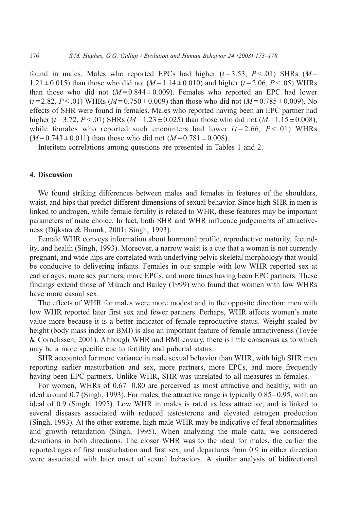found in males. Males who reported EPCs had higher  $(t=3.53, P<.01)$  SHRs  $(M=$ 1.21  $\pm$  0.015) than those who did not (M = 1.14  $\pm$  0.010) and higher (t = 2.06, P < .05) WHRs than those who did not  $(M=0.844\pm0.009)$ . Females who reported an EPC had lower  $(t=2.82, P<0.01)$  WHRs  $(M=0.750 \pm 0.009)$  than those who did not  $(M=0.785 \pm 0.009)$ . No effects of SHR were found in females. Males who reported having been an EPC partner had higher (t=3.72, P < .01) SHRs (M = 1.23  $\pm$  0.025) than those who did not (M = 1.15  $\pm$  0.008), while females who reported such encounters had lower  $(t=2.66, P<.01)$  WHRs  $(M = 0.743 \pm 0.011)$  than those who did not  $(M = 0.781 \pm 0.008)$ .

Interitem correlations among questions are presented in Tables 1 and 2.

### 4. Discussion

We found striking differences between males and females in features of the shoulders, waist, and hips that predict different dimensions of sexual behavior. Since high SHR in men is linked to androgen, while female fertility is related to WHR, these features may be important parameters of mate choice. In fact, both SHR and WHR influence judgements of attractiveness (Dijkstra & Buunk, 2001; Singh, 1993).

Female WHR conveys information about hormonal profile, reproductive maturity, fecundity, and health (Singh, 1993). Moreover, a narrow waist is a cue that a woman is not currently pregnant, and wide hips are correlated with underlying pelvic skeletal morphology that would be conducive to delivering infants. Females in our sample with low WHR reported sex at earlier ages, more sex partners, more EPCs, and more times having been EPC partners. These findings extend those of Mikach and Bailey (1999) who found that women with low WHRs have more casual sex.

The effects of WHR for males were more modest and in the opposite direction: men with low WHR reported later first sex and fewer partners. Perhaps, WHR affects women's mate value more because it is a better indicator of female reproductive status. Weight scaled by height (body mass index or BMI) is also an important feature of female attractiveness (Tovée & Cornelissen, 2001). Although WHR and BMI covary, there is little consensus as to which may be a more specific cue to fertility and pubertal status.

SHR accounted for more variance in male sexual behavior than WHR, with high SHR men reporting earlier masturbation and sex, more partners, more EPCs, and more frequently having been EPC partners. Unlike WHR, SHR was unrelated to all measures in females.

For women, WHRs of 0.67–0.80 are perceived as most attractive and healthy, with an ideal around 0.7 (Singh, 1993). For males, the attractive range is typically 0.85–0.95, with an ideal of 0.9 (Singh, 1995). Low WHR in males is rated as less attractive, and is linked to several diseases associated with reduced testosterone and elevated estrogen production (Singh, 1993). At the other extreme, high male WHR may be indicative of fetal abnormalities and growth retardation (Singh, 1995). When analyzing the male data, we considered deviations in both directions. The closer WHR was to the ideal for males, the earlier the reported ages of first masturbation and first sex, and departures from 0.9 in either direction were associated with later onset of sexual behaviors. A similar analysis of bidirectional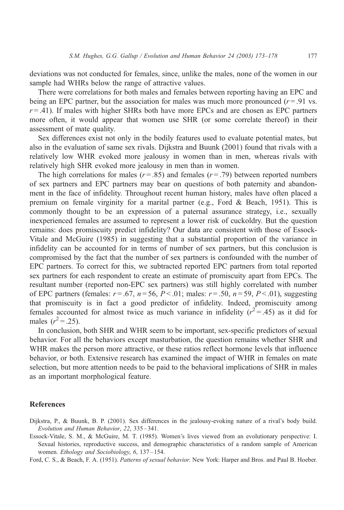deviations was not conducted for females, since, unlike the males, none of the women in our sample had WHRs below the range of attractive values.

There were correlations for both males and females between reporting having an EPC and being an EPC partner, but the association for males was much more pronounced  $(r = .91 \text{ vs.})$  $r = .41$ ). If males with higher SHRs both have more EPCs and are chosen as EPC partners more often, it would appear that women use SHR (or some correlate thereof) in their assessment of mate quality.

Sex differences exist not only in the bodily features used to evaluate potential mates, but also in the evaluation of same sex rivals. Dijkstra and Buunk (2001) found that rivals with a relatively low WHR evoked more jealousy in women than in men, whereas rivals with relatively high SHR evoked more jealousy in men than in women.

The high correlations for males ( $r = .85$ ) and females ( $r = .79$ ) between reported numbers of sex partners and EPC partners may bear on questions of both paternity and abandonment in the face of infidelity. Throughout recent human history, males have often placed a premium on female virginity for a marital partner (e.g., Ford & Beach, 1951). This is commonly thought to be an expression of a paternal assurance strategy, i.e., sexually inexperienced females are assumed to represent a lower risk of cuckoldry. But the question remains: does promiscuity predict infidelity? Our data are consistent with those of Essock-Vitale and McGuire (1985) in suggesting that a substantial proportion of the variance in infidelity can be accounted for in terms of number of sex partners, but this conclusion is compromised by the fact that the number of sex partners is confounded with the number of EPC partners. To correct for this, we subtracted reported EPC partners from total reported sex partners for each respondent to create an estimate of promiscuity apart from EPCs. The resultant number (reported non-EPC sex partners) was still highly correlated with number of EPC partners (females:  $r = .67$ ,  $n = 56$ ,  $P < .01$ ; males:  $r = .50$ ,  $n = 59$ ,  $P < .01$ ), suggesting that promiscuity is in fact a good predictor of infidelity. Indeed, promiscuity among females accounted for almost twice as much variance in infidelity  $(r^2 = .45)$  as it did for males  $(r^2 = .25)$ .

In conclusion, both SHR and WHR seem to be important, sex-specific predictors of sexual behavior. For all the behaviors except masturbation, the question remains whether SHR and WHR makes the person more attractive, or these ratios reflect hormone levels that influence behavior, or both. Extensive research has examined the impact of WHR in females on mate selection, but more attention needs to be paid to the behavioral implications of SHR in males as an important morphological feature.

### References

Dijkstra, P., & Buunk, B. P. (2001). Sex differences in the jealousy-evoking nature of a rival's body build. Evolution and Human Behavior, 22, 335 – 341.

Essock-Vitale, S. M., & McGuire, M. T. (1985). Women's lives viewed from an evolutionary perspective: I. Sexual histories, reproductive success, and demographic characteristics of a random sample of American women. Ethology and Sociobiology, 6, 137–154.

Ford, C. S., & Beach, F. A. (1951). Patterns of sexual behavior. New York: Harper and Bros. and Paul B. Hoeber.